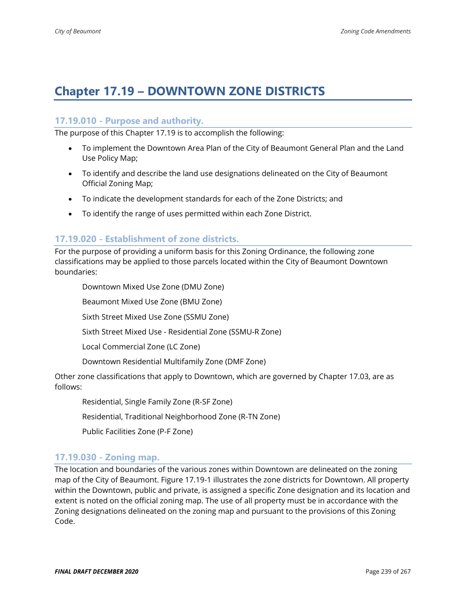# **Chapter 17.19 – DOWNTOWN ZONE DISTRICTS**

#### **17.19.010 - Purpose and authority.**

The purpose of this Chapter 17.19 is to accomplish the following:

- To implement the Downtown Area Plan of the City of Beaumont General Plan and the Land Use Policy Map;
- To identify and describe the land use designations delineated on the City of Beaumont Official Zoning Map;
- To indicate the development standards for each of the Zone Districts; and
- To identify the range of uses permitted within each Zone District.

#### **17.19.020 - Establishment of zone districts.**

For the purpose of providing a uniform basis for this Zoning Ordinance, the following zone classifications may be applied to those parcels located within the City of Beaumont Downtown boundaries:

Downtown Mixed Use Zone (DMU Zone) Beaumont Mixed Use Zone (BMU Zone) Sixth Street Mixed Use Zone (SSMU Zone) Sixth Street Mixed Use - Residential Zone (SSMU-R Zone) Local Commercial Zone (LC Zone) Downtown Residential Multifamily Zone (DMF Zone) Other zone classifications that apply to Downtown, which are governed by Chapter 17.03, are as follows:

Residential, Single Family Zone (R-SF Zone)

Residential, Traditional Neighborhood Zone (R-TN Zone)

Public Facilities Zone (P-F Zone)

#### **17.19.030 - Zoning map.**

The location and boundaries of the various zones within Downtown are delineated on the zoning map of the City of Beaumont. Figure 17.19-1 illustrates the zone districts for Downtown. All property within the Downtown, public and private, is assigned a specific Zone designation and its location and extent is noted on the official zoning map. The use of all property must be in accordance with the Zoning designations delineated on the zoning map and pursuant to the provisions of this Zoning Code.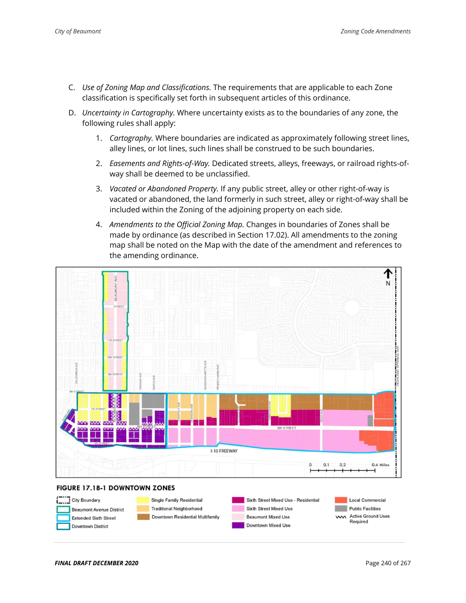- C. *Use of Zoning Map and Classifications.* The requirements that are applicable to each Zone classification is specifically set forth in subsequent articles of this ordinance.
- D. *Uncertainty in Cartography.* Where uncertainty exists as to the boundaries of any zone, the following rules shall apply:
	- 1. *Cartography.* Where boundaries are indicated as approximately following street lines, alley lines, or lot lines, such lines shall be construed to be such boundaries.
	- 2. *Easements and Rights-of-Way.* Dedicated streets, alleys, freeways, or railroad rights-ofway shall be deemed to be unclassified.
	- 3. *Vacated or Abandoned Property.* If any public street, alley or other right-of-way is vacated or abandoned, the land formerly in such street, alley or right-of-way shall be included within the Zoning of the adjoining property on each side.
	- 4. *Amendments to the Official Zoning Map.* Changes in boundaries of Zones shall be made by ordinance (as described in Section 17.02). All amendments to the zoning map shall be noted on the Map with the date of the amendment and references to the amending ordinance.



#### FIGURE 17.18-1 DOWNTOWN ZONES

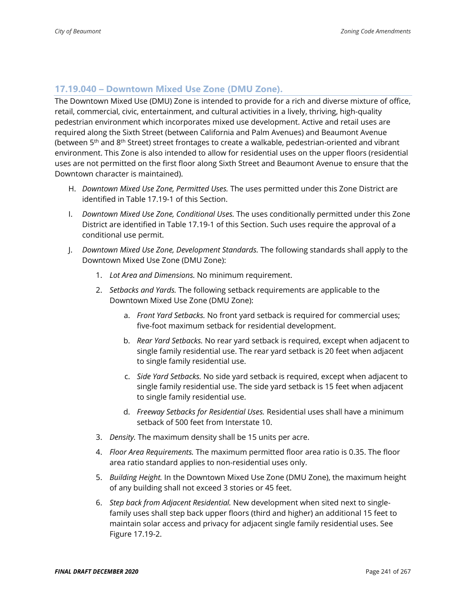### **17.19.040 – Downtown Mixed Use Zone (DMU Zone).**

The Downtown Mixed Use (DMU) Zone is intended to provide for a rich and diverse mixture of office, retail, commercial, civic, entertainment, and cultural activities in a lively, thriving, high-quality pedestrian environment which incorporates mixed use development. Active and retail uses are required along the Sixth Street (between California and Palm Avenues) and Beaumont Avenue (between  $5<sup>th</sup>$  and  $8<sup>th</sup>$  Street) street frontages to create a walkable, pedestrian-oriented and vibrant environment. This Zone is also intended to allow for residential uses on the upper floors (residential uses are not permitted on the first floor along Sixth Street and Beaumont Avenue to ensure that the Downtown character is maintained).

- H. *Downtown Mixed Use Zone, Permitted Uses.* The uses permitted under this Zone District are identified in Table 17.19-1 of this Section.
- I. *Downtown Mixed Use Zone, Conditional Uses.* The uses conditionally permitted under this Zone District are identified in Table 17.19-1 of this Section. Such uses require the approval of a conditional use permit.
- J. *Downtown Mixed Use Zone, Development Standards.* The following standards shall apply to the Downtown Mixed Use Zone (DMU Zone):
	- 1. *Lot Area and Dimensions.* No minimum requirement.
	- 2. *Setbacks and Yards.* The following setback requirements are applicable to the Downtown Mixed Use Zone (DMU Zone):
		- a. *Front Yard Setbacks.* No front yard setback is required for commercial uses; five-foot maximum setback for residential development.
		- b. *Rear Yard Setbacks.* No rear yard setback is required, except when adjacent to single family residential use. The rear yard setback is 20 feet when adjacent to single family residential use.
		- c. *Side Yard Setbacks.* No side yard setback is required, except when adjacent to single family residential use. The side yard setback is 15 feet when adjacent to single family residential use.
		- d. *Freeway Setbacks for Residential Uses.* Residential uses shall have a minimum setback of 500 feet from Interstate 10.
	- 3. *Density.* The maximum density shall be 15 units per acre.
	- 4. *Floor Area Requirements.* The maximum permitted floor area ratio is 0.35. The floor area ratio standard applies to non-residential uses only.
	- 5. *Building Height.* In the Downtown Mixed Use Zone (DMU Zone), the maximum height of any building shall not exceed 3 stories or 45 feet.
	- 6. *Step back from Adjacent Residential.* New development when sited next to singlefamily uses shall step back upper floors (third and higher) an additional 15 feet to maintain solar access and privacy for adjacent single family residential uses. See Figure 17.19-2.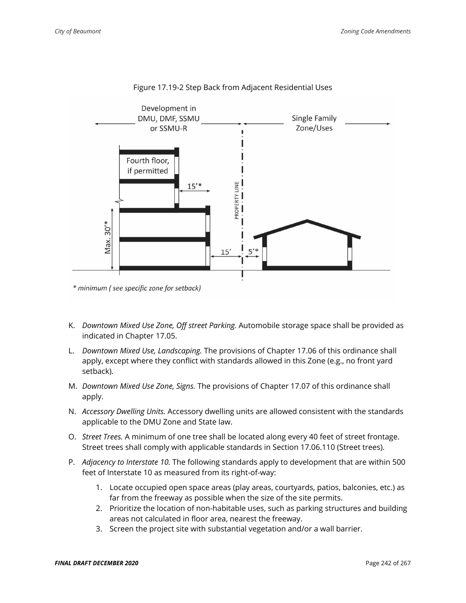

#### Figure 17.19-2 Step Back from Adjacent Residential Uses

- K. *Downtown Mixed Use Zone, Off street Parking.* Automobile storage space shall be provided as indicated in Chapter 17.05.
- L. *Downtown Mixed Use, Landscaping.* The provisions of Chapter 17.06 of this ordinance shall apply, except where they conflict with standards allowed in this Zone (e.g., no front yard setback).
- M. *Downtown Mixed Use Zone, Signs.* The provisions of Chapter 17.07 of this ordinance shall apply.
- N. *Accessory Dwelling Units.* Accessory dwelling units are allowed consistent with the standards applicable to the DMU Zone and State law.
- O. *Street Trees.* A minimum of one tree shall be located along every 40 feet of street frontage. Street trees shall comply with applicable standards in Section 17.06.110 (Street trees).
- P. *Adjacency to Interstate 10.* The following standards apply to development that are within 500 feet of Interstate 10 as measured from its right-of-way:
	- 1. Locate occupied open space areas (play areas, courtyards, patios, balconies, etc.) as far from the freeway as possible when the size of the site permits.
	- 2. Prioritize the location of non-habitable uses, such as parking structures and building areas not calculated in floor area, nearest the freeway.
	- 3. Screen the project site with substantial vegetation and/or a wall barrier.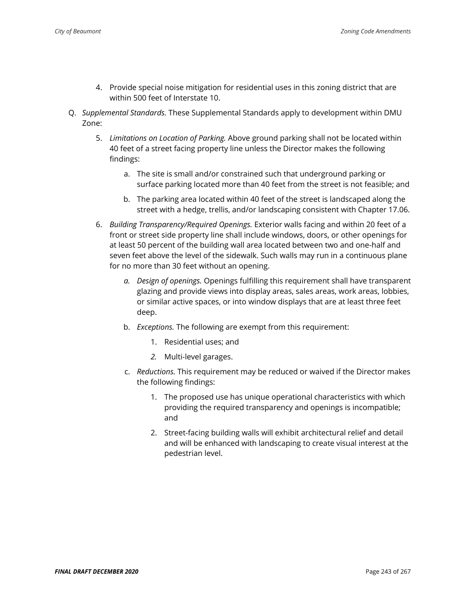- 4. Provide special noise mitigation for residential uses in this zoning district that are within 500 feet of Interstate 10.
- Q. *Supplemental Standards.* These Supplemental Standards apply to development within DMU Zone:
	- 5. *Limitations on Location of Parking.* Above ground parking shall not be located within 40 feet of a street facing property line unless the Director makes the following findings:
		- a. The site is small and/or constrained such that underground parking or surface parking located more than 40 feet from the street is not feasible; and
		- b. The parking area located within 40 feet of the street is landscaped along the street with a hedge, trellis, and/or landscaping consistent with Chapter 17.06.
	- 6. *Building Transparency/Required Openings.* Exterior walls facing and within 20 feet of a front or street side property line shall include windows, doors, or other openings for at least 50 percent of the building wall area located between two and one-half and seven feet above the level of the sidewalk. Such walls may run in a continuous plane for no more than 30 feet without an opening.
		- *a. Design of openings.* Openings fulfilling this requirement shall have transparent glazing and provide views into display areas, sales areas, work areas, lobbies, or similar active spaces, or into window displays that are at least three feet deep.
		- b. *Exceptions.* The following are exempt from this requirement:
			- 1. Residential uses; and
			- *2.* Multi-level garages.
		- c. *Reductions.* This requirement may be reduced or waived if the Director makes the following findings:
			- 1. The proposed use has unique operational characteristics with which providing the required transparency and openings is incompatible; and
			- 2. Street-facing building walls will exhibit architectural relief and detail and will be enhanced with landscaping to create visual interest at the pedestrian level.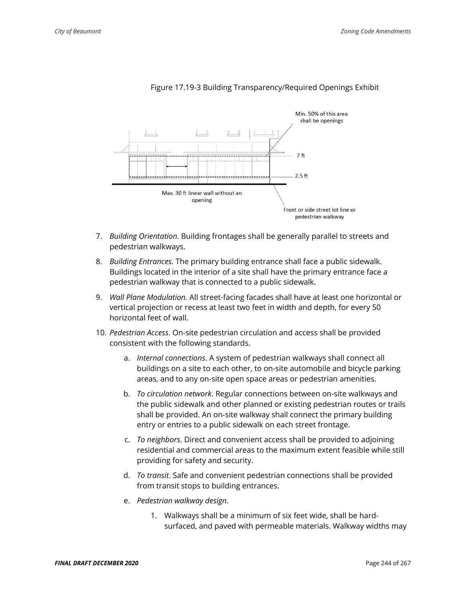

#### Figure 17.19-3 Building Transparency/Required Openings Exhibit

- 7. *Building Orientation.* Building frontages shall be generally parallel to streets and pedestrian walkways.
- 8. *Building Entrances.* The primary building entrance shall face a public sidewalk. Buildings located in the interior of a site shall have the primary entrance face a pedestrian walkway that is connected to a public sidewalk.
- 9. *Wall Plane Modulation.* All street-facing facades shall have at least one horizontal or vertical projection or recess at least two feet in width and depth, for every 50 horizontal feet of wall.
- 10. *Pedestrian Access*. On-site pedestrian circulation and access shall be provided consistent with the following standards.
	- a. *Internal connections*. A system of pedestrian walkways shall connect all buildings on a site to each other, to on-site automobile and bicycle parking areas, and to any on-site open space areas or pedestrian amenities.
	- b. *To circulation network*. Regular connections between on-site walkways and the public sidewalk and other planned or existing pedestrian routes or trails shall be provided. An on-site walkway shall connect the primary building entry or entries to a public sidewalk on each street frontage.
	- c. *To neighbors*. Direct and convenient access shall be provided to adjoining residential and commercial areas to the maximum extent feasible while still providing for safety and security.
	- d. *To transit*. Safe and convenient pedestrian connections shall be provided from transit stops to building entrances.
	- e. *Pedestrian walkway design*.
		- 1. Walkways shall be a minimum of six feet wide, shall be hardsurfaced, and paved with permeable materials. Walkway widths may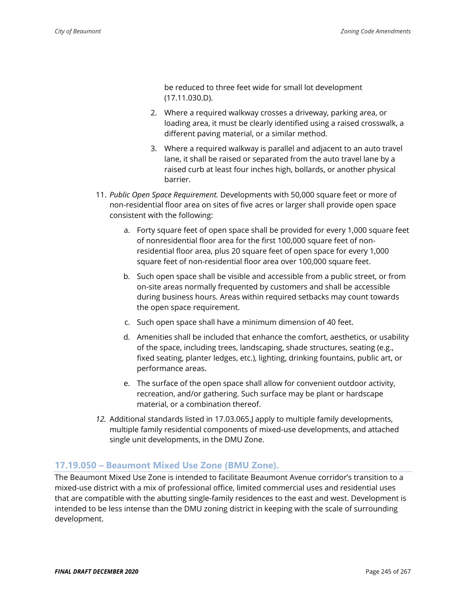be reduced to three feet wide for small lot development (17.11.030.D).

- 2. Where a required walkway crosses a driveway, parking area, or loading area, it must be clearly identified using a raised crosswalk, a different paving material, or a similar method.
- 3. Where a required walkway is parallel and adjacent to an auto travel lane, it shall be raised or separated from the auto travel lane by a raised curb at least four inches high, bollards, or another physical barrier.
- 11. *Public Open Space Requirement.* Developments with 50,000 square feet or more of non-residential floor area on sites of five acres or larger shall provide open space consistent with the following:
	- a. Forty square feet of open space shall be provided for every 1,000 square feet of nonresidential floor area for the first 100,000 square feet of nonresidential floor area, plus 20 square feet of open space for every 1,000 square feet of non-residential floor area over 100,000 square feet.
	- b. Such open space shall be visible and accessible from a public street, or from on-site areas normally frequented by customers and shall be accessible during business hours. Areas within required setbacks may count towards the open space requirement.
	- c. Such open space shall have a minimum dimension of 40 feet.
	- d. Amenities shall be included that enhance the comfort, aesthetics, or usability of the space, including trees, landscaping, shade structures, seating (e.g., fixed seating, planter ledges, etc.), lighting, drinking fountains, public art, or performance areas.
	- e. The surface of the open space shall allow for convenient outdoor activity, recreation, and/or gathering. Such surface may be plant or hardscape material, or a combination thereof.
- *12.* Additional standards listed in 17.03.065.J apply to multiple family developments, multiple family residential components of mixed-use developments, and attached single unit developments, in the DMU Zone.

### **17.19.050 – Beaumont Mixed Use Zone (BMU Zone).**

The Beaumont Mixed Use Zone is intended to facilitate Beaumont Avenue corridor's transition to a mixed-use district with a mix of professional office, limited commercial uses and residential uses that are compatible with the abutting single-family residences to the east and west. Development is intended to be less intense than the DMU zoning district in keeping with the scale of surrounding development.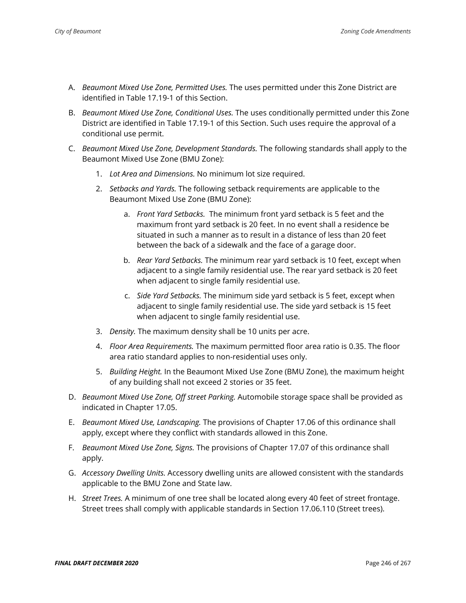- A. *Beaumont Mixed Use Zone, Permitted Uses.* The uses permitted under this Zone District are identified in Table 17.19-1 of this Section.
- B. *Beaumont Mixed Use Zone, Conditional Uses.* The uses conditionally permitted under this Zone District are identified in Table 17.19-1 of this Section. Such uses require the approval of a conditional use permit.
- C. *Beaumont Mixed Use Zone, Development Standards.* The following standards shall apply to the Beaumont Mixed Use Zone (BMU Zone):
	- 1. *Lot Area and Dimensions.* No minimum lot size required.
	- 2. *Setbacks and Yards.* The following setback requirements are applicable to the Beaumont Mixed Use Zone (BMU Zone):
		- a. *Front Yard Setbacks.* The minimum front yard setback is 5 feet and the maximum front yard setback is 20 feet. In no event shall a residence be situated in such a manner as to result in a distance of less than 20 feet between the back of a sidewalk and the face of a garage door.
		- b. *Rear Yard Setbacks.* The minimum rear yard setback is 10 feet, except when adjacent to a single family residential use. The rear yard setback is 20 feet when adjacent to single family residential use.
		- c. *Side Yard Setbacks.* The minimum side yard setback is 5 feet, except when adjacent to single family residential use. The side yard setback is 15 feet when adjacent to single family residential use.
	- 3. *Density.* The maximum density shall be 10 units per acre.
	- 4. *Floor Area Requirements.* The maximum permitted floor area ratio is 0.35. The floor area ratio standard applies to non-residential uses only.
	- 5. *Building Height.* In the Beaumont Mixed Use Zone (BMU Zone), the maximum height of any building shall not exceed 2 stories or 35 feet.
- D. *Beaumont Mixed Use Zone, Off street Parking.* Automobile storage space shall be provided as indicated in Chapter 17.05.
- E. *Beaumont Mixed Use, Landscaping.* The provisions of Chapter 17.06 of this ordinance shall apply, except where they conflict with standards allowed in this Zone.
- F. *Beaumont Mixed Use Zone, Signs.* The provisions of Chapter 17.07 of this ordinance shall apply.
- G. *Accessory Dwelling Units.* Accessory dwelling units are allowed consistent with the standards applicable to the BMU Zone and State law.
- H. *Street Trees.* A minimum of one tree shall be located along every 40 feet of street frontage. Street trees shall comply with applicable standards in Section 17.06.110 (Street trees).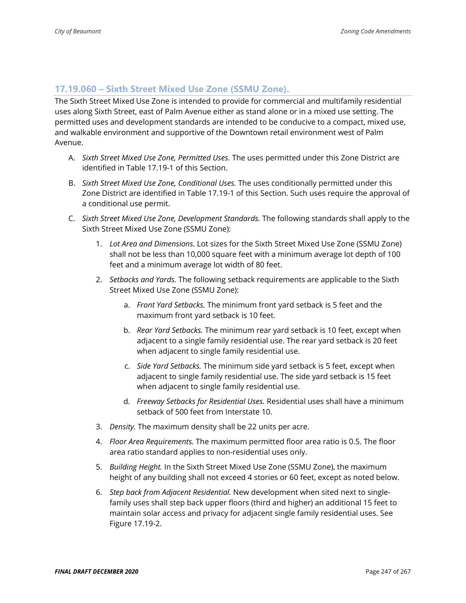#### **17.19.060 – Sixth Street Mixed Use Zone (SSMU Zone).**

The Sixth Street Mixed Use Zone is intended to provide for commercial and multifamily residential uses along Sixth Street, east of Palm Avenue either as stand alone or in a mixed use setting. The permitted uses and development standards are intended to be conducive to a compact, mixed use, and walkable environment and supportive of the Downtown retail environment west of Palm Avenue.

- A. *Sixth Street Mixed Use Zone, Permitted Uses.* The uses permitted under this Zone District are identified in Table 17.19-1 of this Section.
- B. *Sixth Street Mixed Use Zone, Conditional Uses.* The uses conditionally permitted under this Zone District are identified in Table 17.19-1 of this Section. Such uses require the approval of a conditional use permit.
- C. *Sixth Street Mixed Use Zone, Development Standards.* The following standards shall apply to the Sixth Street Mixed Use Zone (SSMU Zone):
	- 1. *Lot Area and Dimensions.* Lot sizes for the Sixth Street Mixed Use Zone (SSMU Zone) shall not be less than 10,000 square feet with a minimum average lot depth of 100 feet and a minimum average lot width of 80 feet.
	- 2. *Setbacks and Yards.* The following setback requirements are applicable to the Sixth Street Mixed Use Zone (SSMU Zone):
		- a. *Front Yard Setbacks.* The minimum front yard setback is 5 feet and the maximum front yard setback is 10 feet.
		- b. *Rear Yard Setbacks.* The minimum rear yard setback is 10 feet, except when adjacent to a single family residential use. The rear yard setback is 20 feet when adjacent to single family residential use.
		- c. *Side Yard Setbacks.* The minimum side yard setback is 5 feet, except when adjacent to single family residential use. The side yard setback is 15 feet when adjacent to single family residential use.
		- d. *Freeway Setbacks for Residential Uses.* Residential uses shall have a minimum setback of 500 feet from Interstate 10.
	- 3. *Density.* The maximum density shall be 22 units per acre.
	- 4. *Floor Area Requirements.* The maximum permitted floor area ratio is 0.5. The floor area ratio standard applies to non-residential uses only.
	- 5. *Building Height.* In the Sixth Street Mixed Use Zone (SSMU Zone), the maximum height of any building shall not exceed 4 stories or 60 feet, except as noted below.
	- 6. *Step back from Adjacent Residential.* New development when sited next to singlefamily uses shall step back upper floors (third and higher) an additional 15 feet to maintain solar access and privacy for adjacent single family residential uses. See Figure 17.19-2.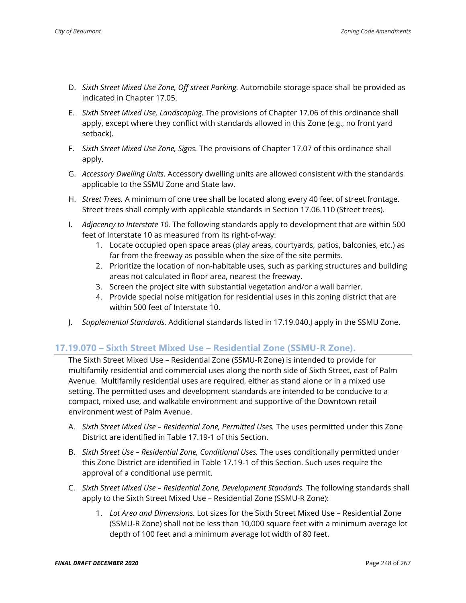- D. *Sixth Street Mixed Use Zone, Off street Parking.* Automobile storage space shall be provided as indicated in Chapter 17.05.
- E. *Sixth Street Mixed Use, Landscaping.* The provisions of Chapter 17.06 of this ordinance shall apply, except where they conflict with standards allowed in this Zone (e.g., no front yard setback).
- F. *Sixth Street Mixed Use Zone, Signs.* The provisions of Chapter 17.07 of this ordinance shall apply.
- G. *Accessory Dwelling Units.* Accessory dwelling units are allowed consistent with the standards applicable to the SSMU Zone and State law.
- H. *Street Trees.* A minimum of one tree shall be located along every 40 feet of street frontage. Street trees shall comply with applicable standards in Section 17.06.110 (Street trees).
- I. *Adjacency to Interstate 10.* The following standards apply to development that are within 500 feet of Interstate 10 as measured from its right-of-way:
	- 1. Locate occupied open space areas (play areas, courtyards, patios, balconies, etc.) as far from the freeway as possible when the size of the site permits.
	- 2. Prioritize the location of non-habitable uses, such as parking structures and building areas not calculated in floor area, nearest the freeway.
	- 3. Screen the project site with substantial vegetation and/or a wall barrier.
	- 4. Provide special noise mitigation for residential uses in this zoning district that are within 500 feet of Interstate 10.
- J. *Supplemental Standards.* Additional standards listed in 17.19.040.J apply in the SSMU Zone.

### **17.19.070 – Sixth Street Mixed Use – Residential Zone (SSMU-R Zone).**

The Sixth Street Mixed Use – Residential Zone (SSMU-R Zone) is intended to provide for multifamily residential and commercial uses along the north side of Sixth Street, east of Palm Avenue. Multifamily residential uses are required, either as stand alone or in a mixed use setting. The permitted uses and development standards are intended to be conducive to a compact, mixed use, and walkable environment and supportive of the Downtown retail environment west of Palm Avenue.

- A. *Sixth Street Mixed Use – Residential Zone, Permitted Uses.* The uses permitted under this Zone District are identified in Table 17.19-1 of this Section.
- B. *Sixth Street Use – Residential Zone, Conditional Uses.* The uses conditionally permitted under this Zone District are identified in Table 17.19-1 of this Section. Such uses require the approval of a conditional use permit.
- C. *Sixth Street Mixed Use – Residential Zone, Development Standards.* The following standards shall apply to the Sixth Street Mixed Use – Residential Zone (SSMU-R Zone):
	- 1. *Lot Area and Dimensions.* Lot sizes for the Sixth Street Mixed Use Residential Zone (SSMU-R Zone) shall not be less than 10,000 square feet with a minimum average lot depth of 100 feet and a minimum average lot width of 80 feet.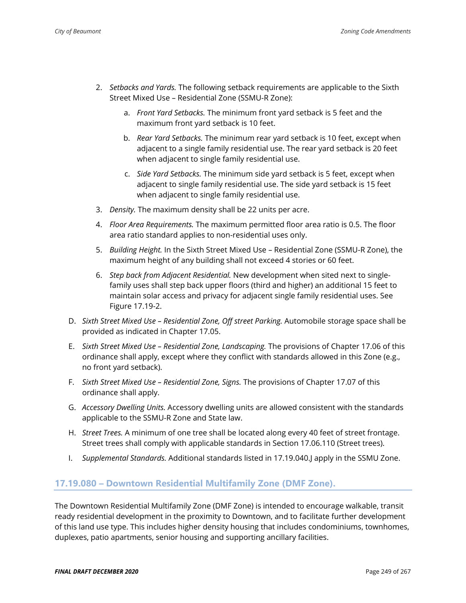- 2. *Setbacks and Yards.* The following setback requirements are applicable to the Sixth Street Mixed Use – Residential Zone (SSMU-R Zone):
	- a. *Front Yard Setbacks.* The minimum front yard setback is 5 feet and the maximum front yard setback is 10 feet.
	- b. *Rear Yard Setbacks.* The minimum rear yard setback is 10 feet, except when adjacent to a single family residential use. The rear yard setback is 20 feet when adjacent to single family residential use.
	- c. *Side Yard Setbacks.* The minimum side yard setback is 5 feet, except when adjacent to single family residential use. The side yard setback is 15 feet when adjacent to single family residential use.
- 3. *Density.* The maximum density shall be 22 units per acre.
- 4. *Floor Area Requirements.* The maximum permitted floor area ratio is 0.5. The floor area ratio standard applies to non-residential uses only.
- 5. *Building Height.* In the Sixth Street Mixed Use Residential Zone (SSMU-R Zone), the maximum height of any building shall not exceed 4 stories or 60 feet.
- 6. *Step back from Adjacent Residential.* New development when sited next to singlefamily uses shall step back upper floors (third and higher) an additional 15 feet to maintain solar access and privacy for adjacent single family residential uses. See Figure 17.19-2.
- D. *Sixth Street Mixed Use – Residential Zone, Off street Parking.* Automobile storage space shall be provided as indicated in Chapter 17.05.
- E. *Sixth Street Mixed Use – Residential Zone, Landscaping.* The provisions of Chapter 17.06 of this ordinance shall apply, except where they conflict with standards allowed in this Zone (e.g., no front yard setback).
- F. *Sixth Street Mixed Use – Residential Zone, Signs.* The provisions of Chapter 17.07 of this ordinance shall apply.
- G. *Accessory Dwelling Units.* Accessory dwelling units are allowed consistent with the standards applicable to the SSMU-R Zone and State law.
- H. *Street Trees.* A minimum of one tree shall be located along every 40 feet of street frontage. Street trees shall comply with applicable standards in Section 17.06.110 (Street trees).
- I. *Supplemental Standards.* Additional standards listed in 17.19.040.J apply in the SSMU Zone.

#### **17.19.080 – Downtown Residential Multifamily Zone (DMF Zone).**

The Downtown Residential Multifamily Zone (DMF Zone) is intended to encourage walkable, transit ready residential development in the proximity to Downtown, and to facilitate further development of this land use type. This includes higher density housing that includes condominiums, townhomes, duplexes, patio apartments, senior housing and supporting ancillary facilities.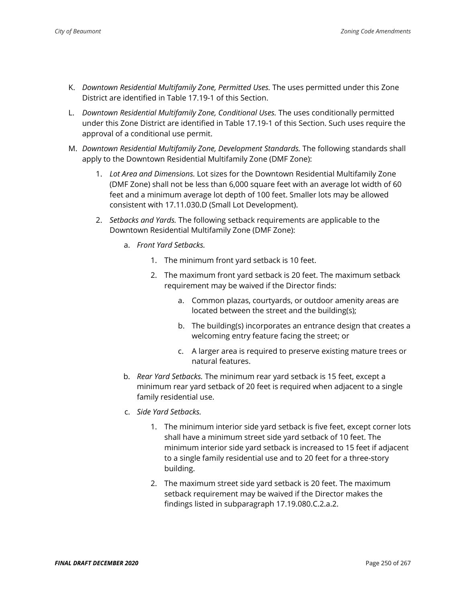- K. *Downtown Residential Multifamily Zone, Permitted Uses.* The uses permitted under this Zone District are identified in Table 17.19-1 of this Section.
- L. *Downtown Residential Multifamily Zone, Conditional Uses.* The uses conditionally permitted under this Zone District are identified in Table 17.19-1 of this Section. Such uses require the approval of a conditional use permit.
- M. *Downtown Residential Multifamily Zone, Development Standards.* The following standards shall apply to the Downtown Residential Multifamily Zone (DMF Zone):
	- 1. *Lot Area and Dimensions.* Lot sizes for the Downtown Residential Multifamily Zone (DMF Zone) shall not be less than 6,000 square feet with an average lot width of 60 feet and a minimum average lot depth of 100 feet. Smaller lots may be allowed consistent with 17.11.030.D (Small Lot Development).
	- 2. *Setbacks and Yards.* The following setback requirements are applicable to the Downtown Residential Multifamily Zone (DMF Zone):
		- a. *Front Yard Setbacks.*
			- 1. The minimum front yard setback is 10 feet.
			- 2. The maximum front yard setback is 20 feet. The maximum setback requirement may be waived if the Director finds:
				- a. Common plazas, courtyards, or outdoor amenity areas are located between the street and the building(s);
				- b. The building(s) incorporates an entrance design that creates a welcoming entry feature facing the street; or
				- c. A larger area is required to preserve existing mature trees or natural features.
		- b. *Rear Yard Setbacks.* The minimum rear yard setback is 15 feet, except a minimum rear yard setback of 20 feet is required when adjacent to a single family residential use.
		- c. *Side Yard Setbacks.*
			- 1. The minimum interior side yard setback is five feet, except corner lots shall have a minimum street side yard setback of 10 feet. The minimum interior side yard setback is increased to 15 feet if adjacent to a single family residential use and to 20 feet for a three-story building.
			- 2. The maximum street side yard setback is 20 feet. The maximum setback requirement may be waived if the Director makes the findings listed in subparagraph 17.19.080.C.2.a.2.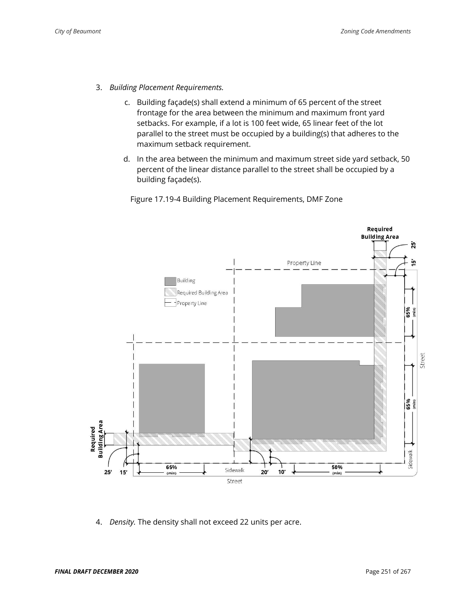- 3. *Building Placement Requirements.* 
	- c. Building façade(s) shall extend a minimum of 65 percent of the street frontage for the area between the minimum and maximum front yard setbacks. For example, if a lot is 100 feet wide, 65 linear feet of the lot parallel to the street must be occupied by a building(s) that adheres to the maximum setback requirement.
	- d. In the area between the minimum and maximum street side yard setback, 50 percent of the linear distance parallel to the street shall be occupied by a building façade(s).

Figure 17.19-4 Building Placement Requirements, DMF Zone



4. *Density.* The density shall not exceed 22 units per acre.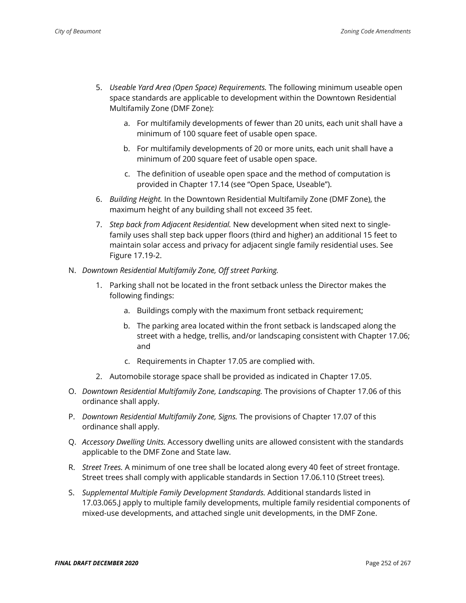- 5. *Useable Yard Area (Open Space) Requirements.* The following minimum useable open space standards are applicable to development within the Downtown Residential Multifamily Zone (DMF Zone):
	- a. For multifamily developments of fewer than 20 units, each unit shall have a minimum of 100 square feet of usable open space.
	- b. For multifamily developments of 20 or more units, each unit shall have a minimum of 200 square feet of usable open space.
	- c. The definition of useable open space and the method of computation is provided in Chapter 17.14 (see "Open Space, Useable").
- 6. *Building Height.* In the Downtown Residential Multifamily Zone (DMF Zone), the maximum height of any building shall not exceed 35 feet.
- 7. *Step back from Adjacent Residential.* New development when sited next to singlefamily uses shall step back upper floors (third and higher) an additional 15 feet to maintain solar access and privacy for adjacent single family residential uses. See Figure 17.19-2.
- N. *Downtown Residential Multifamily Zone, Off street Parking.*
	- 1. Parking shall not be located in the front setback unless the Director makes the following findings:
		- a. Buildings comply with the maximum front setback requirement;
		- b. The parking area located within the front setback is landscaped along the street with a hedge, trellis, and/or landscaping consistent with Chapter 17.06; and
		- c. Requirements in Chapter 17.05 are complied with.
	- 2. Automobile storage space shall be provided as indicated in Chapter 17.05.
- O. *Downtown Residential Multifamily Zone, Landscaping.* The provisions of Chapter 17.06 of this ordinance shall apply.
- P. *Downtown Residential Multifamily Zone, Signs.* The provisions of Chapter 17.07 of this ordinance shall apply.
- Q. *Accessory Dwelling Units.* Accessory dwelling units are allowed consistent with the standards applicable to the DMF Zone and State law.
- R. *Street Trees.* A minimum of one tree shall be located along every 40 feet of street frontage. Street trees shall comply with applicable standards in Section 17.06.110 (Street trees).
- S. *Supplemental Multiple Family Development Standards.* Additional standards listed in 17.03.065.J apply to multiple family developments, multiple family residential components of mixed-use developments, and attached single unit developments, in the DMF Zone.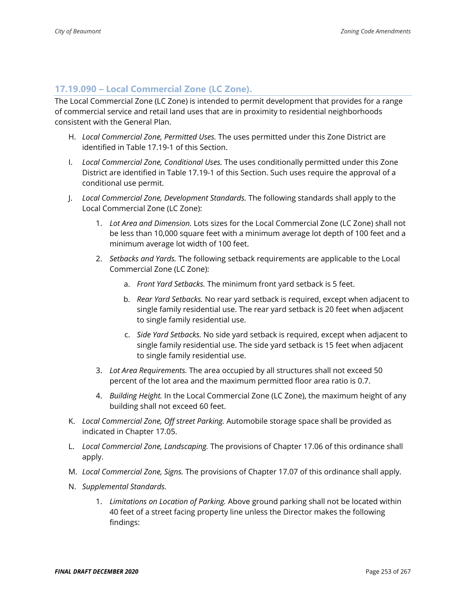### **17.19.090 – Local Commercial Zone (LC Zone).**

The Local Commercial Zone (LC Zone) is intended to permit development that provides for a range of commercial service and retail land uses that are in proximity to residential neighborhoods consistent with the General Plan.

- H. *Local Commercial Zone, Permitted Uses.* The uses permitted under this Zone District are identified in Table 17.19-1 of this Section.
- I. *Local Commercial Zone, Conditional Uses.* The uses conditionally permitted under this Zone District are identified in Table 17.19-1 of this Section. Such uses require the approval of a conditional use permit.
- J. *Local Commercial Zone, Development Standards.* The following standards shall apply to the Local Commercial Zone (LC Zone):
	- 1. *Lot Area and Dimension.* Lots sizes for the Local Commercial Zone (LC Zone) shall not be less than 10,000 square feet with a minimum average lot depth of 100 feet and a minimum average lot width of 100 feet.
	- 2. *Setbacks and Yards.* The following setback requirements are applicable to the Local Commercial Zone (LC Zone):
		- a. *Front Yard Setbacks.* The minimum front yard setback is 5 feet.
		- b. *Rear Yard Setbacks.* No rear yard setback is required, except when adjacent to single family residential use. The rear yard setback is 20 feet when adjacent to single family residential use.
		- c. *Side Yard Setbacks.* No side yard setback is required, except when adjacent to single family residential use. The side yard setback is 15 feet when adjacent to single family residential use.
	- 3. *Lot Area Requirements.* The area occupied by all structures shall not exceed 50 percent of the lot area and the maximum permitted floor area ratio is 0.7.
	- 4. *Building Height.* In the Local Commercial Zone (LC Zone), the maximum height of any building shall not exceed 60 feet.
- K. *Local Commercial Zone, Off street Parking.* Automobile storage space shall be provided as indicated in Chapter 17.05.
- L. *Local Commercial Zone, Landscaping.* The provisions of Chapter 17.06 of this ordinance shall apply.
- M. *Local Commercial Zone, Signs.* The provisions of Chapter 17.07 of this ordinance shall apply.
- N. *Supplemental Standards.*
	- 1. *Limitations on Location of Parking.* Above ground parking shall not be located within 40 feet of a street facing property line unless the Director makes the following findings: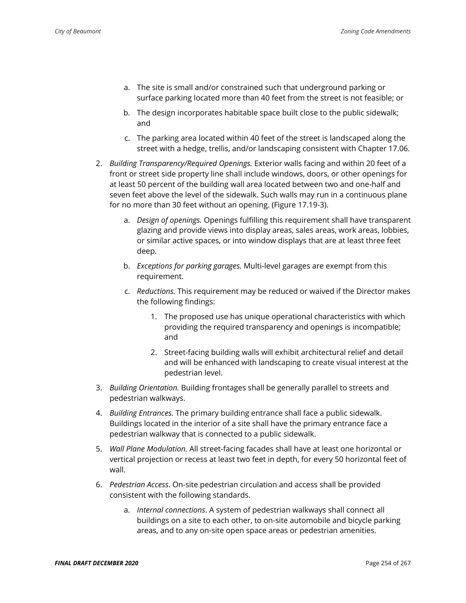- a. The site is small and/or constrained such that underground parking or surface parking located more than 40 feet from the street is not feasible; or
- b. The design incorporates habitable space built close to the public sidewalk; and
- c. The parking area located within 40 feet of the street is landscaped along the street with a hedge, trellis, and/or landscaping consistent with Chapter 17.06.
- 2. *Building Transparency/Required Openings.* Exterior walls facing and within 20 feet of a front or street side property line shall include windows, doors, or other openings for at least 50 percent of the building wall area located between two and one-half and seven feet above the level of the sidewalk. Such walls may run in a continuous plane for no more than 30 feet without an opening. (Figure 17.19-3).
	- a. *Design of openings.* Openings fulfilling this requirement shall have transparent glazing and provide views into display areas, sales areas, work areas, lobbies, or similar active spaces, or into window displays that are at least three feet deep.
	- b. *Exceptions for parking garages.* Multi-level garages are exempt from this requirement.
	- c. *Reductions.* This requirement may be reduced or waived if the Director makes the following findings:
		- 1. The proposed use has unique operational characteristics with which providing the required transparency and openings is incompatible; and
		- 2. Street-facing building walls will exhibit architectural relief and detail and will be enhanced with landscaping to create visual interest at the pedestrian level.
- 3. *Building Orientation.* Building frontages shall be generally parallel to streets and pedestrian walkways.
- 4. *Building Entrances.* The primary building entrance shall face a public sidewalk. Buildings located in the interior of a site shall have the primary entrance face a pedestrian walkway that is connected to a public sidewalk.
- 5. *Wall Plane Modulation.* All street-facing facades shall have at least one horizontal or vertical projection or recess at least two feet in depth, for every 50 horizontal feet of wall.
- 6. *Pedestrian Access*. On-site pedestrian circulation and access shall be provided consistent with the following standards.
	- a. *Internal connections*. A system of pedestrian walkways shall connect all buildings on a site to each other, to on-site automobile and bicycle parking areas, and to any on-site open space areas or pedestrian amenities.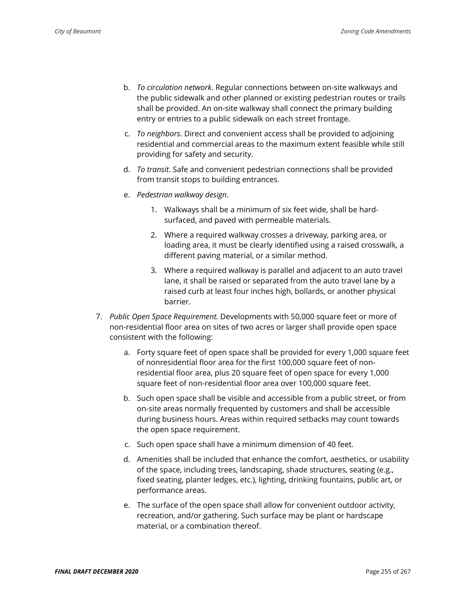- b. *To circulation network*. Regular connections between on-site walkways and the public sidewalk and other planned or existing pedestrian routes or trails shall be provided. An on-site walkway shall connect the primary building entry or entries to a public sidewalk on each street frontage.
- c. *To neighbors*. Direct and convenient access shall be provided to adjoining residential and commercial areas to the maximum extent feasible while still providing for safety and security.
- d. *To transit*. Safe and convenient pedestrian connections shall be provided from transit stops to building entrances.
- e. *Pedestrian walkway design*.
	- 1. Walkways shall be a minimum of six feet wide, shall be hardsurfaced, and paved with permeable materials.
	- 2. Where a required walkway crosses a driveway, parking area, or loading area, it must be clearly identified using a raised crosswalk, a different paving material, or a similar method.
	- 3. Where a required walkway is parallel and adjacent to an auto travel lane, it shall be raised or separated from the auto travel lane by a raised curb at least four inches high, bollards, or another physical barrier.
- 7. *Public Open Space Requirement.* Developments with 50,000 square feet or more of non-residential floor area on sites of two acres or larger shall provide open space consistent with the following:
	- a. Forty square feet of open space shall be provided for every 1,000 square feet of nonresidential floor area for the first 100,000 square feet of nonresidential floor area, plus 20 square feet of open space for every 1,000 square feet of non-residential floor area over 100,000 square feet.
	- b. Such open space shall be visible and accessible from a public street, or from on-site areas normally frequented by customers and shall be accessible during business hours. Areas within required setbacks may count towards the open space requirement.
	- c. Such open space shall have a minimum dimension of 40 feet.
	- d. Amenities shall be included that enhance the comfort, aesthetics, or usability of the space, including trees, landscaping, shade structures, seating (e.g., fixed seating, planter ledges, etc.), lighting, drinking fountains, public art, or performance areas.
	- e. The surface of the open space shall allow for convenient outdoor activity, recreation, and/or gathering. Such surface may be plant or hardscape material, or a combination thereof.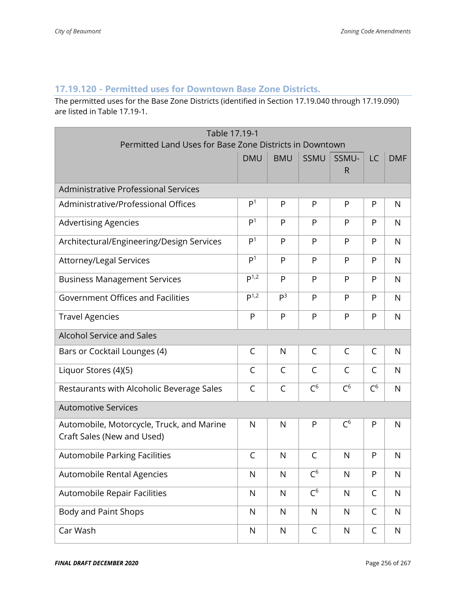## **17.19.120 - Permitted uses for Downtown Base Zone Districts.**

The permitted uses for the Base Zone Districts (identified in Section 17.19.040 through 17.19.090) are listed in Table 17.19-1.

| Table 17.19-1<br>Permitted Land Uses for Base Zone Districts in Downtown |                  |                |             |                       |              |              |
|--------------------------------------------------------------------------|------------------|----------------|-------------|-----------------------|--------------|--------------|
|                                                                          | <b>DMU</b>       | <b>BMU</b>     | SSMU        | SSMU-<br>$\mathsf{R}$ | LC           | <b>DMF</b>   |
| Administrative Professional Services                                     |                  |                |             |                       |              |              |
| Administrative/Professional Offices                                      | P <sup>1</sup>   | P              | P           | P                     | P            | N            |
| <b>Advertising Agencies</b>                                              | P <sup>1</sup>   | P              | P           | P                     | P            | N            |
| Architectural/Engineering/Design Services                                | P <sup>1</sup>   | P              | P           | P                     | P            | N            |
| Attorney/Legal Services                                                  | P <sup>1</sup>   | P              | P           | P                     | P            | $\mathsf{N}$ |
| <b>Business Management Services</b>                                      | P <sup>1,2</sup> | P              | P           | P                     | P            | $\mathsf{N}$ |
| Government Offices and Facilities                                        | P <sup>1,2</sup> | P <sup>3</sup> | P           | P                     | P            | $\mathsf{N}$ |
| <b>Travel Agencies</b>                                                   | P                | P              | P           | P                     | P            | $\mathsf{N}$ |
| Alcohol Service and Sales                                                |                  |                |             |                       |              |              |
| Bars or Cocktail Lounges (4)                                             | C                | N              | C           | C                     | $\mathsf{C}$ | N            |
| Liquor Stores (4)(5)                                                     | C                | C              | C           | C                     | C            | N            |
| Restaurants with Alcoholic Beverage Sales                                | C                | $\mathsf{C}$   | $C^6$       | $C^6$                 | $C^6$        | $\mathsf{N}$ |
| <b>Automotive Services</b>                                               |                  |                |             |                       |              |              |
| Automobile, Motorcycle, Truck, and Marine<br>Craft Sales (New and Used)  | N                | N              | P           | $C^6$                 | P            | N            |
| <b>Automobile Parking Facilities</b>                                     | C                | N              | C           | $\mathsf{N}$          | P            | N            |
| Automobile Rental Agencies                                               | N                | N              | $C^6$       | N                     | P            | N            |
| Automobile Repair Facilities                                             | N                | $\mathsf{N}$   | $C^6$       | $\mathsf{N}$          | $\mathsf{C}$ | $\mathsf{N}$ |
| Body and Paint Shops                                                     | $\mathsf{N}$     | $\mathsf{N}$   | N           | $\mathsf{N}$          | C            | $\mathsf{N}$ |
| Car Wash                                                                 | $\mathsf{N}$     | ${\sf N}$      | $\mathsf C$ | N                     | $\mathsf C$  | N            |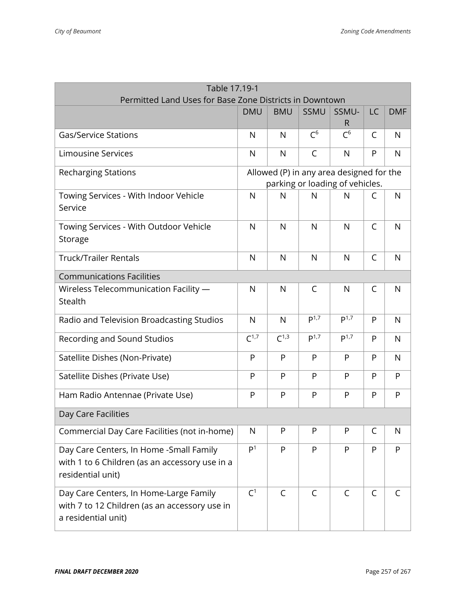| Table 17.19-1<br>Permitted Land Uses for Base Zone Districts in Downtown                                       |                  |              |              |                                                                             |              |              |
|----------------------------------------------------------------------------------------------------------------|------------------|--------------|--------------|-----------------------------------------------------------------------------|--------------|--------------|
|                                                                                                                | <b>DMU</b>       | <b>BMU</b>   | <b>SSMU</b>  | SSMU-<br>R                                                                  | LC           | <b>DMF</b>   |
| <b>Gas/Service Stations</b>                                                                                    | N                | N            | $C^6$        | $C^6$                                                                       | C            | N            |
| <b>Limousine Services</b>                                                                                      | N                | N            | C            | N                                                                           | P            | $\mathsf{N}$ |
| <b>Recharging Stations</b>                                                                                     |                  |              |              | Allowed (P) in any area designed for the<br>parking or loading of vehicles. |              |              |
| Towing Services - With Indoor Vehicle<br>Service                                                               | N                | N            | N            | N                                                                           | C            | N            |
| Towing Services - With Outdoor Vehicle<br>Storage                                                              | N                | $\mathsf{N}$ | N            | $\mathsf{N}$                                                                | $\mathsf{C}$ | $\mathsf{N}$ |
| <b>Truck/Trailer Rentals</b>                                                                                   | N                | $\mathsf{N}$ | N            | $\mathsf{N}$                                                                | $\mathsf{C}$ | $\mathsf{N}$ |
| <b>Communications Facilities</b>                                                                               |                  |              |              |                                                                             |              |              |
| Wireless Telecommunication Facility -<br>Stealth                                                               | N                | N            | $\mathsf{C}$ | $\mathsf{N}$                                                                | C            | N            |
| Radio and Television Broadcasting Studios                                                                      | $\mathsf{N}$     | N            | $P^{1,7}$    | P <sup>1,7</sup>                                                            | P            | N            |
| Recording and Sound Studios                                                                                    | $C^{1,7}$        | $C^{1,3}$    | $P^{1,7}$    | $P^{1,7}$                                                                   | P            | $\mathsf{N}$ |
| Satellite Dishes (Non-Private)                                                                                 | P                | P            | P            | P                                                                           | P            | $\mathsf{N}$ |
| Satellite Dishes (Private Use)                                                                                 | P                | P            | P            | P                                                                           | P            | P            |
| Ham Radio Antennae (Private Use)                                                                               | P                | P            | P            | P                                                                           | P            | P            |
| Day Care Facilities                                                                                            |                  |              |              |                                                                             |              |              |
| Commercial Day Care Facilities (not in-home)                                                                   | N                | P            | P            | P                                                                           | C            | N            |
| Day Care Centers, In Home -Small Family<br>with 1 to 6 Children (as an accessory use in a<br>residential unit) | $\overline{P^1}$ | P            | P            | P                                                                           | P            | P            |
| Day Care Centers, In Home-Large Family<br>with 7 to 12 Children (as an accessory use in<br>a residential unit) | C <sup>1</sup>   | C            | C            | $\mathsf{C}$                                                                | C            | C            |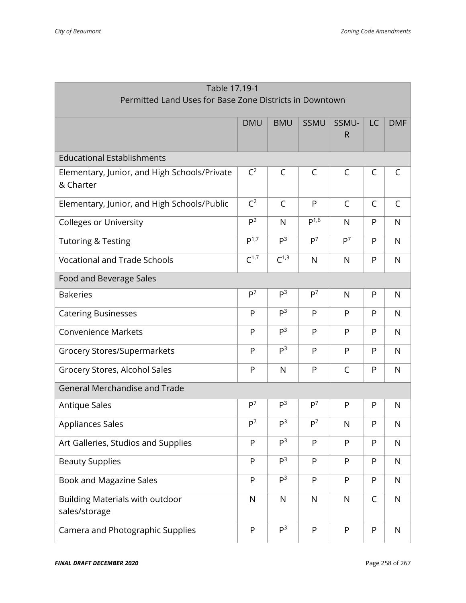| Table 17.19-1                                             |                |                |                |                |              |              |
|-----------------------------------------------------------|----------------|----------------|----------------|----------------|--------------|--------------|
| Permitted Land Uses for Base Zone Districts in Downtown   |                |                |                |                |              |              |
|                                                           | <b>DMU</b>     | <b>BMU</b>     | <b>SSMU</b>    | SSMU-<br>R     | LC           | <b>DMF</b>   |
| <b>Educational Establishments</b>                         |                |                |                |                |              |              |
| Elementary, Junior, and High Schools/Private<br>& Charter | $C^2$          | C              | C              | $\mathsf{C}$   | C            | C            |
| Elementary, Junior, and High Schools/Public               | $C^2$          | $\mathsf{C}$   | P              | $\mathsf{C}$   | C            | $\mathsf{C}$ |
| <b>Colleges or University</b>                             | P <sup>2</sup> | $\mathsf{N}$   | $P^{1,6}$      | N              | P            | $\mathsf{N}$ |
| <b>Tutoring &amp; Testing</b>                             | $P^{1,7}$      | P <sup>3</sup> | P <sup>7</sup> | P <sup>7</sup> | P            | $\mathsf{N}$ |
| <b>Vocational and Trade Schools</b>                       | $C^{1,7}$      | $C^{1,3}$      | N              | $\mathsf{N}$   | P            | $\mathsf{N}$ |
| Food and Beverage Sales                                   |                |                |                |                |              |              |
| <b>Bakeries</b>                                           | P <sup>7</sup> | P <sup>3</sup> | P <sup>7</sup> | N              | P            | N            |
| <b>Catering Businesses</b>                                | P              | P <sup>3</sup> | P              | P              | P            | N            |
| <b>Convenience Markets</b>                                | P              | P <sup>3</sup> | P              | P              | P            | N            |
| Grocery Stores/Supermarkets                               | P              | P <sup>3</sup> | P              | P              | P            | $\mathsf{N}$ |
| Grocery Stores, Alcohol Sales                             | P              | $\mathsf{N}$   | P              | $\mathsf{C}$   | P            | $\mathsf{N}$ |
| <b>General Merchandise and Trade</b>                      |                |                |                |                |              |              |
| <b>Antique Sales</b>                                      | P <sup>7</sup> | P <sup>3</sup> | P <sup>7</sup> | P              | P            | N            |
| Appliances Sales                                          | P <sup>7</sup> | P <sup>3</sup> | P <sup>7</sup> | N              | P            | N            |
| Art Galleries, Studios and Supplies                       | P              | P <sup>3</sup> | P              | P              | P            | $\mathsf{N}$ |
| <b>Beauty Supplies</b>                                    | P              | P <sup>3</sup> | P              | P              | P            | $\mathsf{N}$ |
| Book and Magazine Sales                                   | P              | P <sup>3</sup> | P              | P              | $\mathsf{P}$ | $\mathsf{N}$ |
| Building Materials with outdoor<br>sales/storage          | $\mathsf{N}$   | $\mathsf{N}$   | $\mathsf{N}$   | $\mathsf{N}$   | C            | $\mathsf{N}$ |
| Camera and Photographic Supplies                          | P              | P <sup>3</sup> | P              | P              | $\mathsf{P}$ | $\mathsf{N}$ |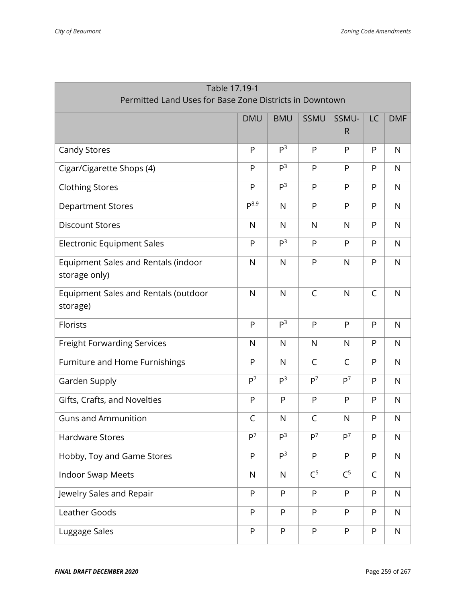| Table 17.19-1<br>Permitted Land Uses for Base Zone Districts in Downtown |                |                |                |                       |    |              |
|--------------------------------------------------------------------------|----------------|----------------|----------------|-----------------------|----|--------------|
|                                                                          | <b>DMU</b>     | <b>BMU</b>     | SSMU           | SSMU-<br>$\mathsf{R}$ | LC | <b>DMF</b>   |
| Candy Stores                                                             | $\mathsf{P}$   | P <sup>3</sup> | P              | P                     | P  | N            |
| Cigar/Cigarette Shops (4)                                                | P              | P <sup>3</sup> | P              | P                     | P  | $\mathsf{N}$ |
| <b>Clothing Stores</b>                                                   | P              | P <sup>3</sup> | P              | P                     | P  | $\mathsf{N}$ |
| <b>Department Stores</b>                                                 | $P^{8,9}$      | $\mathsf{N}$   | P              | P                     | P  | $\mathsf{N}$ |
| <b>Discount Stores</b>                                                   | $\mathsf{N}$   | N              | N              | $\mathsf{N}$          | P  | $\mathsf{N}$ |
| <b>Electronic Equipment Sales</b>                                        | P              | P <sup>3</sup> | P              | P                     | P  | N            |
| Equipment Sales and Rentals (indoor<br>storage only)                     | $\mathsf{N}$   | N              | P              | N                     | P  | $\mathsf{N}$ |
| Equipment Sales and Rentals (outdoor<br>storage)                         | $\mathsf{N}$   | N              | $\mathsf C$    | $\mathsf{N}$          | C  | $\mathsf{N}$ |
| Florists                                                                 | P              | P <sup>3</sup> | P              | P                     | P  | $\mathsf{N}$ |
| <b>Freight Forwarding Services</b>                                       | $\mathsf{N}$   | $\mathsf{N}$   | $\mathsf{N}$   | $\mathsf{N}$          | P  | $\mathsf{N}$ |
| Furniture and Home Furnishings                                           | P              | N              | C              | $\mathsf{C}$          | P  | N            |
| Garden Supply                                                            | P <sup>7</sup> | P <sup>3</sup> | P <sup>7</sup> | P <sup>7</sup>        | P  | $\mathsf{N}$ |
| Gifts, Crafts, and Novelties                                             | P              | P              | P              | P                     | P  | $\mathsf{N}$ |
| <b>Guns and Ammunition</b>                                               | $\mathsf C$    | N              | $\mathsf C$    | N                     | P  | N            |
| <b>Hardware Stores</b>                                                   | P <sup>7</sup> | P <sup>3</sup> | P <sup>7</sup> | P <sup>7</sup>        | P  | $\mathsf{N}$ |
| Hobby, Toy and Game Stores                                               | P              | P <sup>3</sup> | ${\sf P}$      | P                     | P  | $\mathsf{N}$ |
| <b>Indoor Swap Meets</b>                                                 | $\mathsf{N}$   | $\mathsf{N}$   | C <sup>5</sup> | C <sup>5</sup>        | C  | $\mathsf{N}$ |
| Jewelry Sales and Repair                                                 | P              | P              | P              | P                     | P  | $\mathsf{N}$ |
| Leather Goods                                                            | P              | P              | P              | P                     | P  | $\mathsf{N}$ |
| Luggage Sales                                                            | P              | P              | ${\sf P}$      | ${\sf P}$             | P  | $\mathsf{N}$ |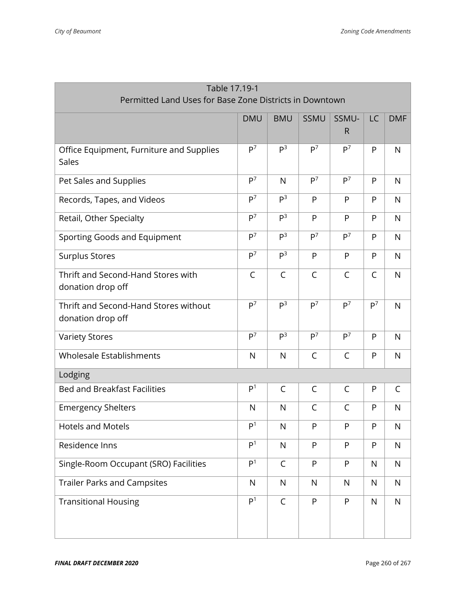| Table 17.19-1                                           |                                                               |                |                |                |                |              |  |
|---------------------------------------------------------|---------------------------------------------------------------|----------------|----------------|----------------|----------------|--------------|--|
| Permitted Land Uses for Base Zone Districts in Downtown |                                                               |                |                |                |                |              |  |
|                                                         | <b>DMU</b><br>SSMU-<br>LC<br><b>BMU</b><br>SSMU<br><b>DMF</b> |                |                |                |                |              |  |
|                                                         |                                                               |                |                | $\mathsf{R}$   |                |              |  |
| Office Equipment, Furniture and Supplies                | P <sup>7</sup>                                                | P <sup>3</sup> | $P^7$          | P <sup>7</sup> | P              | $\mathsf{N}$ |  |
| Sales                                                   |                                                               |                |                |                |                |              |  |
| Pet Sales and Supplies                                  | P <sup>7</sup>                                                | $\mathsf{N}$   | P <sup>7</sup> | P <sup>7</sup> | P              | $\mathsf{N}$ |  |
| Records, Tapes, and Videos                              | P <sup>7</sup>                                                | P <sup>3</sup> | P              | P              | P              | $\mathsf{N}$ |  |
| Retail, Other Specialty                                 | P <sup>7</sup>                                                | P <sup>3</sup> | P              | P              | P              | $\mathsf{N}$ |  |
| Sporting Goods and Equipment                            | P <sup>7</sup>                                                | P <sup>3</sup> | P <sup>7</sup> | P <sup>7</sup> | P              | $\mathsf{N}$ |  |
| <b>Surplus Stores</b>                                   | P <sup>7</sup>                                                | P <sup>3</sup> | P              | P              | P              | $\mathsf{N}$ |  |
| Thrift and Second-Hand Stores with                      | C                                                             | $\mathsf C$    | $\mathsf C$    | $\mathsf{C}$   | C              | $\mathsf{N}$ |  |
| donation drop off                                       |                                                               |                |                |                |                |              |  |
| Thrift and Second-Hand Stores without                   | P <sup>7</sup>                                                | P <sup>3</sup> | P <sup>7</sup> | P <sup>7</sup> | P <sup>7</sup> | $\mathsf{N}$ |  |
| donation drop off                                       |                                                               |                |                |                |                |              |  |
| <b>Variety Stores</b>                                   | P <sup>7</sup>                                                | P <sup>3</sup> | P <sup>7</sup> | P <sup>7</sup> | P              | $\mathsf{N}$ |  |
| Wholesale Establishments                                | $\mathsf{N}$                                                  | N              | $\mathsf{C}$   | $\mathsf{C}$   | P              | $\mathsf{N}$ |  |
| Lodging                                                 |                                                               |                |                |                |                |              |  |
| <b>Bed and Breakfast Facilities</b>                     | P <sup>1</sup>                                                | C              | C              | $\mathsf C$    | P              | C            |  |
| <b>Emergency Shelters</b>                               | N                                                             | N              | $\mathsf C$    | $\mathsf C$    | P              | $\mathsf{N}$ |  |
| <b>Hotels and Motels</b>                                | P <sup>1</sup>                                                | N              | P              | P              | P              | N            |  |
| Residence Inns                                          | P <sup>1</sup>                                                | $\mathsf{N}$   | P              | P              | P              | $\mathsf{N}$ |  |
| Single-Room Occupant (SRO) Facilities                   | P <sup>1</sup>                                                | $\mathsf C$    | P              | ${\sf P}$      | N              | $\mathsf{N}$ |  |
| <b>Trailer Parks and Campsites</b>                      | $\mathsf{N}$                                                  | $\mathsf{N}$   | $\mathsf{N}$   | $\mathsf{N}$   | N              | N            |  |
| <b>Transitional Housing</b>                             | P <sup>1</sup>                                                | $\mathsf C$    | P              | P              | $\mathsf{N}$   | N            |  |
|                                                         |                                                               |                |                |                |                |              |  |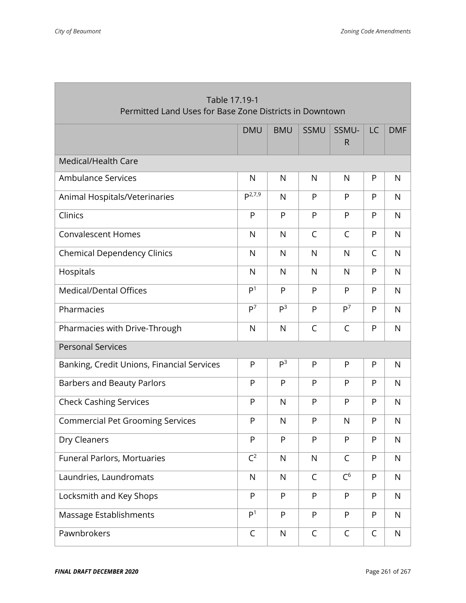| Table 17.19-1<br>Permitted Land Uses for Base Zone Districts in Downtown |                |                |              |                       |              |              |  |
|--------------------------------------------------------------------------|----------------|----------------|--------------|-----------------------|--------------|--------------|--|
|                                                                          | <b>DMU</b>     | <b>BMU</b>     | <b>SSMU</b>  | SSMU-<br>$\mathsf{R}$ | <b>LC</b>    | <b>DMF</b>   |  |
| Medical/Health Care                                                      |                |                |              |                       |              |              |  |
| <b>Ambulance Services</b>                                                | N              | N              | N            | N                     | P            | N            |  |
| Animal Hospitals/Veterinaries                                            | $P^{2,7,9}$    | N              | P            | P                     | P            | N            |  |
| Clinics                                                                  | P              | P              | P            | P                     | P            | $\mathsf{N}$ |  |
| <b>Convalescent Homes</b>                                                | N              | $\mathsf{N}$   | $\mathsf{C}$ | $\mathsf{C}$          | P            | $\mathsf{N}$ |  |
| <b>Chemical Dependency Clinics</b>                                       | $\mathsf{N}$   | N              | $\mathsf{N}$ | N                     | $\mathsf{C}$ | $\mathsf{N}$ |  |
| Hospitals                                                                | N              | N              | N            | N                     | P            | $\mathsf{N}$ |  |
| <b>Medical/Dental Offices</b>                                            | P <sup>1</sup> | P              | P            | P                     | P            | $\mathsf{N}$ |  |
| Pharmacies                                                               | $P^7$          | P <sup>3</sup> | P            | P <sup>7</sup>        | P            | $\mathsf{N}$ |  |
| Pharmacies with Drive-Through                                            | N              | N              | $\mathsf C$  | $\mathsf{C}$          | P            | $\mathsf{N}$ |  |
| <b>Personal Services</b>                                                 |                |                |              |                       |              |              |  |
| Banking, Credit Unions, Financial Services                               | P              | P <sup>3</sup> | P            | P                     | P            | N            |  |
| <b>Barbers and Beauty Parlors</b>                                        | P              | P              | P            | P                     | P            | $\mathsf{N}$ |  |
| <b>Check Cashing Services</b>                                            | P              | N              | P            | P                     | P            | $\mathsf{N}$ |  |
| <b>Commercial Pet Grooming Services</b>                                  | $\mathsf{P}$   | N              | P            | N                     | P            | $\mathsf{N}$ |  |
| Dry Cleaners                                                             | P              | P              | P            | P                     | P            | $\mathsf{N}$ |  |
| Funeral Parlors, Mortuaries                                              | $C^2$          | $\mathsf{N}$   | $\mathsf{N}$ | $\mathsf{C}$          | P            | $\mathsf{N}$ |  |
| Laundries, Laundromats                                                   | $\mathsf{N}$   | $\mathsf{N}$   | $\mathsf{C}$ | $C^6$                 | P            | $\mathsf{N}$ |  |
| Locksmith and Key Shops                                                  | P              | P              | P            | P                     | P            | $\mathsf{N}$ |  |
| Massage Establishments                                                   | P <sup>1</sup> | P              | ${\sf P}$    | ${\sf P}$             | P            | $\mathsf{N}$ |  |
| Pawnbrokers                                                              | $\mathsf C$    | $\mathsf{N}$   | $\mathsf C$  | $\mathsf{C}$          | $\mathsf{C}$ | $\mathsf{N}$ |  |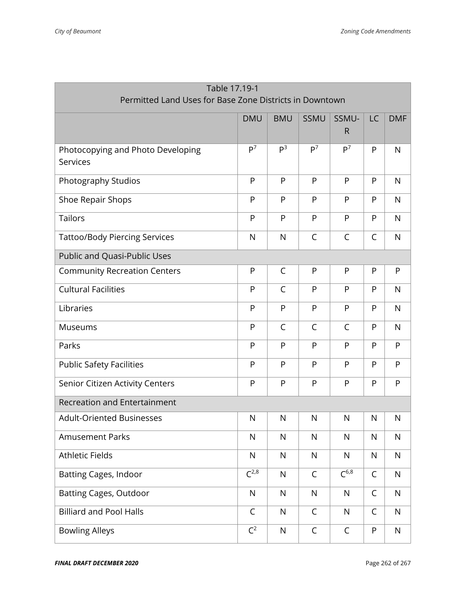| Table 17.19-1                                           |                |                |                |                       |              |              |  |
|---------------------------------------------------------|----------------|----------------|----------------|-----------------------|--------------|--------------|--|
| Permitted Land Uses for Base Zone Districts in Downtown |                |                |                |                       |              |              |  |
|                                                         | <b>DMU</b>     | <b>BMU</b>     | SSMU           | SSMU-<br>$\mathsf{R}$ | LC           | <b>DMF</b>   |  |
| Photocopying and Photo Developing<br>Services           | P <sup>7</sup> | P <sup>3</sup> | P <sup>7</sup> | P <sup>7</sup>        | P            | $\mathsf{N}$ |  |
| Photography Studios                                     | ${\sf P}$      | P              | P              | ${\sf P}$             | P            | $\mathsf{N}$ |  |
| Shoe Repair Shops                                       | P              | P              | P              | P                     | P            | $\mathsf{N}$ |  |
| <b>Tailors</b>                                          | P              | P              | P              | P                     | P            | $\mathsf{N}$ |  |
| <b>Tattoo/Body Piercing Services</b>                    | $\mathsf{N}$   | N              | $\mathsf{C}$   | $\mathsf{C}$          | $\mathsf{C}$ | $\mathsf{N}$ |  |
| Public and Quasi-Public Uses                            |                |                |                |                       |              |              |  |
| <b>Community Recreation Centers</b>                     | P              | C              | P              | P                     | P            | P            |  |
| <b>Cultural Facilities</b>                              | P              | C              | P              | P                     | P            | $\mathsf{N}$ |  |
| Libraries                                               | P              | P              | P              | ${\sf P}$             | P            | $\mathsf{N}$ |  |
| Museums                                                 | ${\sf P}$      | C              | $\mathsf{C}$   | $\mathsf{C}$          | P            | $\mathsf{N}$ |  |
| Parks                                                   | P              | P              | P              | P                     | P            | P            |  |
| <b>Public Safety Facilities</b>                         | P              | P              | P              | P                     | P            | P            |  |
| Senior Citizen Activity Centers                         | P              | P              | P              | P                     | P            | P            |  |
| <b>Recreation and Entertainment</b>                     |                |                |                |                       |              |              |  |
| <b>Adult-Oriented Businesses</b>                        | N              | N              | N              | N                     | N            | N            |  |
| <b>Amusement Parks</b>                                  | $\mathsf{N}$   | $\mathsf{N}$   | $\mathsf{N}$   | $\mathsf{N}$          | $\mathsf{N}$ | $\mathsf{N}$ |  |
| <b>Athletic Fields</b>                                  | $\mathsf{N}$   | $\mathsf{N}$   | $\mathsf{N}$   | $\mathsf{N}$          | N            | $\mathsf{N}$ |  |
| <b>Batting Cages, Indoor</b>                            | $C^{2,8}$      | $\mathsf{N}$   | $\mathsf{C}$   | $\sqrt{6.8}$          | $\mathsf{C}$ | ${\sf N}$    |  |
| <b>Batting Cages, Outdoor</b>                           | ${\sf N}$      | $\mathsf{N}$   | $\mathsf{N}$   | $\mathsf{N}$          | $\mathsf C$  | $\mathsf{N}$ |  |
| <b>Billiard and Pool Halls</b>                          | C              | $\mathsf{N}$   | $\mathsf C$    | $\mathsf{N}$          | $\mathsf{C}$ | $\mathsf{N}$ |  |
| <b>Bowling Alleys</b>                                   | $C^2$          | ${\sf N}$      | $\mathsf C$    | $\mathsf C$           | ${\sf P}$    | ${\sf N}$    |  |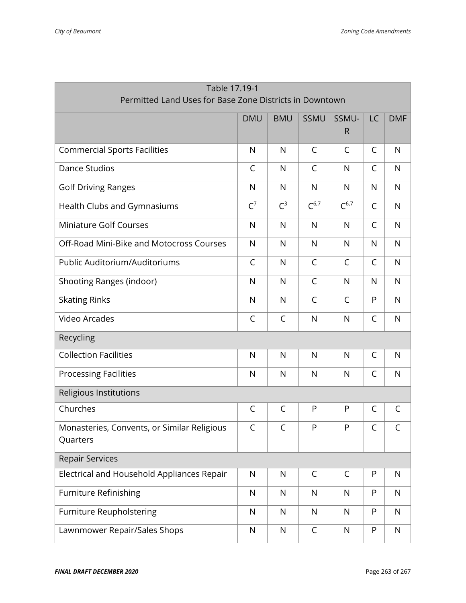| Table 17.19-1                                           |                                                               |              |              |              |   |              |  |  |
|---------------------------------------------------------|---------------------------------------------------------------|--------------|--------------|--------------|---|--------------|--|--|
| Permitted Land Uses for Base Zone Districts in Downtown |                                                               |              |              |              |   |              |  |  |
|                                                         | SSMU-<br><b>DMF</b><br><b>DMU</b><br><b>BMU</b><br>SSMU<br>LC |              |              |              |   |              |  |  |
|                                                         |                                                               |              |              | $\mathsf{R}$ |   |              |  |  |
| <b>Commercial Sports Facilities</b>                     | $\mathsf{N}$                                                  | N            | C            | $\mathsf{C}$ | C | $\mathsf{N}$ |  |  |
| <b>Dance Studios</b>                                    | $\mathsf C$                                                   | $\mathsf{N}$ | $\mathsf{C}$ | $\mathsf{N}$ | C | $\mathsf{N}$ |  |  |
| <b>Golf Driving Ranges</b>                              | $\mathsf{N}$                                                  | $\mathsf{N}$ | $\mathsf{N}$ | N            | N | $\mathsf{N}$ |  |  |
| Health Clubs and Gymnasiums                             | $C^7$                                                         | $C^3$        | $C^{6,7}$    | $C^{6,7}$    | C | $\mathsf{N}$ |  |  |
| <b>Miniature Golf Courses</b>                           | $\mathsf{N}$                                                  | N            | N            | N            | C | $\mathsf{N}$ |  |  |
| Off-Road Mini-Bike and Motocross Courses                | $\mathsf{N}$                                                  | N            | N            | N            | N | $\mathsf{N}$ |  |  |
| Public Auditorium/Auditoriums                           | C                                                             | N            | C            | $\mathsf{C}$ | C | N            |  |  |
| Shooting Ranges (indoor)                                | N                                                             | N            | C            | $\mathsf{N}$ | N | $\mathsf{N}$ |  |  |
| <b>Skating Rinks</b>                                    | $\mathsf{N}$                                                  | N            | C            | $\mathsf{C}$ | P | $\mathsf{N}$ |  |  |
| <b>Video Arcades</b>                                    | $\mathsf C$                                                   | $\mathsf C$  | $\mathsf{N}$ | $\mathsf{N}$ | C | $\mathsf{N}$ |  |  |
| Recycling                                               |                                                               |              |              |              |   |              |  |  |
| <b>Collection Facilities</b>                            | $\mathsf{N}$                                                  | N            | N            | N            | C | N            |  |  |
| <b>Processing Facilities</b>                            | $\mathsf{N}$                                                  | N            | $\mathsf{N}$ | $\mathsf{N}$ | C | $\mathsf{N}$ |  |  |
| Religious Institutions                                  |                                                               |              |              |              |   |              |  |  |
| Churches                                                | C                                                             | $\mathsf C$  | P            | P            | C | $\mathsf C$  |  |  |
| Monasteries, Convents, or Similar Religious<br>Quarters | C                                                             | $\mathsf{C}$ | P            | P            | C | C            |  |  |
| <b>Repair Services</b>                                  |                                                               |              |              |              |   |              |  |  |
| Electrical and Household Appliances Repair              | $\mathsf{N}$                                                  | N            | C            | $\mathsf{C}$ | P | N            |  |  |
| <b>Furniture Refinishing</b>                            | $\mathsf{N}$                                                  | $\mathsf{N}$ | $\mathsf{N}$ | $\mathsf{N}$ | P | $\mathsf{N}$ |  |  |
| <b>Furniture Reupholstering</b>                         | $\mathsf{N}$                                                  | $\mathsf{N}$ | N            | $\mathsf{N}$ | P | $\mathsf{N}$ |  |  |
| Lawnmower Repair/Sales Shops                            | $\mathsf{N}$                                                  | ${\sf N}$    | $\mathsf C$  | $\mathsf{N}$ | P | $\mathsf{N}$ |  |  |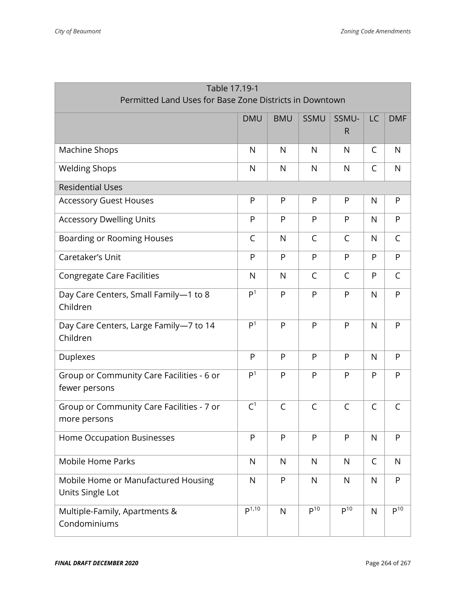| Table 17.19-1                                              |                       |              |                 |                       |              |              |  |
|------------------------------------------------------------|-----------------------|--------------|-----------------|-----------------------|--------------|--------------|--|
| Permitted Land Uses for Base Zone Districts in Downtown    |                       |              |                 |                       |              |              |  |
|                                                            | <b>DMU</b>            | <b>BMU</b>   | SSMU            | SSMU-<br>$\mathsf{R}$ | <b>LC</b>    | <b>DMF</b>   |  |
| Machine Shops                                              | $\mathsf{N}$          | N            | $\mathsf{N}$    | $\mathsf{N}$          | C            | $\mathsf{N}$ |  |
| <b>Welding Shops</b>                                       | $\mathsf{N}$          | N            | $\mathsf{N}$    | $\mathsf{N}$          | $\mathsf{C}$ | $\mathsf{N}$ |  |
| <b>Residential Uses</b>                                    |                       |              |                 |                       |              |              |  |
| <b>Accessory Guest Houses</b>                              | P                     | P            | P               | $\mathsf{P}$          | N            | P            |  |
| <b>Accessory Dwelling Units</b>                            | P                     | P            | P               | P                     | N            | P            |  |
| Boarding or Rooming Houses                                 | C                     | N            | C               | $\mathsf{C}$          | N            | C            |  |
| Caretaker's Unit                                           | P                     | P            | P               | P                     | P            | P            |  |
| <b>Congregate Care Facilities</b>                          | N                     | N            | C               | $\mathsf{C}$          | P            | C            |  |
| Day Care Centers, Small Family-1 to 8<br>Children          | P <sup>1</sup>        | P            | P               | P                     | N            | P            |  |
| Day Care Centers, Large Family-7 to 14<br>Children         | $P^{\overline{1}}$    | P            | P               | P                     | $\mathsf{N}$ | P            |  |
| <b>Duplexes</b>                                            | P                     | P            | P               | P                     | N            | P            |  |
| Group or Community Care Facilities - 6 or<br>fewer persons | P <sup>1</sup>        | P            | P               | P                     | P            | P            |  |
| Group or Community Care Facilities - 7 or<br>more persons  | C <sup>1</sup>        | $\mathsf{C}$ | C               | $\mathsf{C}$          | C            | C            |  |
| Home Occupation Businesses                                 | P                     | P            | P               | P                     | $\mathsf{N}$ | P            |  |
| <b>Mobile Home Parks</b>                                   | $\mathsf{N}$          | $\mathsf{N}$ | ${\sf N}$       | N                     | C            | $\mathsf{N}$ |  |
| Mobile Home or Manufactured Housing<br>Units Single Lot    | $\mathsf{N}$          | ${\sf P}$    | $\mathsf{N}$    | $\mathsf{N}$          | N            | ${\sf P}$    |  |
| Multiple-Family, Apartments &<br>Condominiums              | $\overline{p^{1,10}}$ | $\mathsf{N}$ | P <sup>10</sup> | P <sup>10</sup>       | $\mathsf{N}$ | $P^{10}$     |  |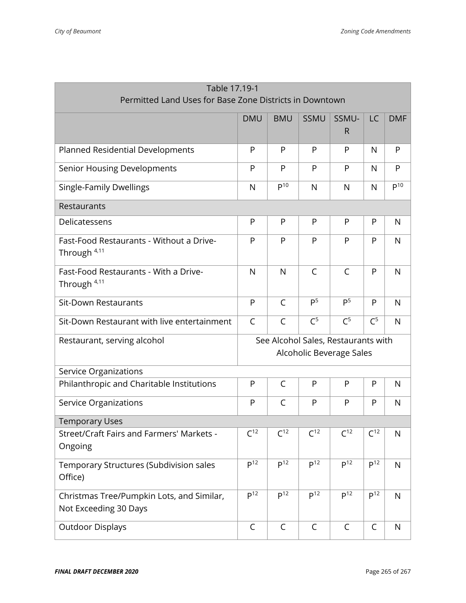| Table 17.19-1                                                      |                                                                      |                 |                 |                                                                 |                 |                     |  |
|--------------------------------------------------------------------|----------------------------------------------------------------------|-----------------|-----------------|-----------------------------------------------------------------|-----------------|---------------------|--|
| Permitted Land Uses for Base Zone Districts in Downtown            |                                                                      |                 |                 |                                                                 |                 |                     |  |
|                                                                    | <b>DMU</b><br>SSMU-<br>LC<br><b>DMF</b><br><b>BMU</b><br><b>SSMU</b> |                 |                 |                                                                 |                 |                     |  |
|                                                                    |                                                                      |                 |                 | R                                                               |                 |                     |  |
| Planned Residential Developments                                   | P                                                                    | P               | P               | P                                                               | N               | P                   |  |
| <b>Senior Housing Developments</b>                                 | P                                                                    | P               | P               | P                                                               | N               | P                   |  |
| <b>Single-Family Dwellings</b>                                     | N                                                                    | P <sup>10</sup> | $\mathsf{N}$    | N                                                               | $\mathsf{N}$    | $\overline{P^{10}}$ |  |
| Restaurants                                                        |                                                                      |                 |                 |                                                                 |                 |                     |  |
| Delicatessens                                                      | $\mathsf{P}$                                                         | P               | P               | P                                                               | P               | N                   |  |
| Fast-Food Restaurants - Without a Drive-<br>Through $4,11$         | P                                                                    | P               | P               | P                                                               | P               | $\mathsf{N}$        |  |
| Fast-Food Restaurants - With a Drive-<br>Through <sup>4,11</sup>   | $\mathsf{N}$                                                         | $\mathsf{N}$    | $\mathsf{C}$    | $\mathsf C$                                                     | P               | N                   |  |
| <b>Sit-Down Restaurants</b>                                        | P                                                                    | C               | P <sup>5</sup>  | P <sup>5</sup>                                                  | P               | N                   |  |
| Sit-Down Restaurant with live entertainment                        | $\mathsf C$                                                          | $\mathsf{C}$    | C <sup>5</sup>  | C <sup>5</sup>                                                  | C <sup>5</sup>  | $\mathsf{N}$        |  |
| Restaurant, serving alcohol                                        |                                                                      |                 |                 | See Alcohol Sales, Restaurants with<br>Alcoholic Beverage Sales |                 |                     |  |
| Service Organizations                                              |                                                                      |                 |                 |                                                                 |                 |                     |  |
| Philanthropic and Charitable Institutions                          | $\mathsf{P}$                                                         | $\mathsf{C}$    | P               | P                                                               | P               | N                   |  |
| Service Organizations                                              | P                                                                    | $\mathsf{C}$    | P               | P                                                               | P               | $\mathsf{N}$        |  |
| <b>Temporary Uses</b>                                              |                                                                      |                 |                 |                                                                 |                 |                     |  |
| Street/Craft Fairs and Farmers' Markets -<br>Ongoing               | $C^{12}$                                                             | C <sup>12</sup> | $C^{12}$        | C <sup>12</sup>                                                 | $C^{12}$        | $\mathsf{N}$        |  |
| Temporary Structures (Subdivision sales<br>Office)                 | P <sup>12</sup>                                                      | P <sup>12</sup> | P <sup>12</sup> | P <sup>12</sup>                                                 | P <sup>12</sup> | $\mathsf{N}$        |  |
| Christmas Tree/Pumpkin Lots, and Similar,<br>Not Exceeding 30 Days | P <sup>12</sup>                                                      | P <sup>12</sup> | P <sup>12</sup> | P <sup>12</sup>                                                 | P <sup>12</sup> | $\mathsf{N}$        |  |
| <b>Outdoor Displays</b>                                            | C                                                                    | C               | C               | C                                                               | C               | N                   |  |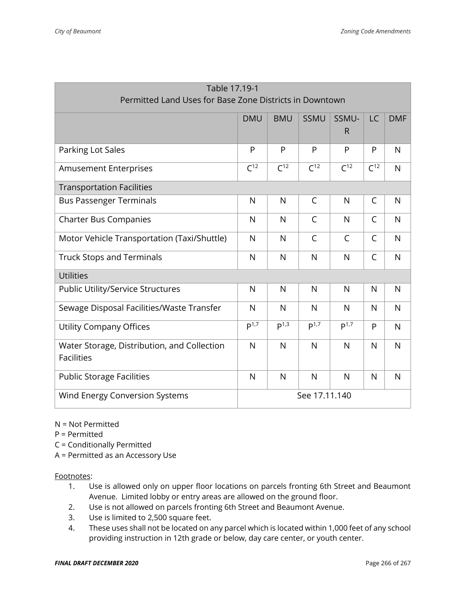| Table 17.19-1                                           |                                                                             |                  |              |                  |                 |              |  |
|---------------------------------------------------------|-----------------------------------------------------------------------------|------------------|--------------|------------------|-----------------|--------------|--|
| Permitted Land Uses for Base Zone Districts in Downtown |                                                                             |                  |              |                  |                 |              |  |
|                                                         | <b>DMU</b><br><b>BMU</b><br><b>SSMU</b><br>SSMU-<br><b>LC</b><br><b>DMF</b> |                  |              |                  |                 |              |  |
|                                                         |                                                                             |                  |              | R                |                 |              |  |
| Parking Lot Sales                                       | P                                                                           | P                | P            | P                | P               | $\mathsf{N}$ |  |
| <b>Amusement Enterprises</b>                            | C <sup>12</sup>                                                             | C <sup>12</sup>  | $C^{12}$     | C <sup>12</sup>  | C <sup>12</sup> | $\mathsf{N}$ |  |
| <b>Transportation Facilities</b>                        |                                                                             |                  |              |                  |                 |              |  |
| <b>Bus Passenger Terminals</b>                          | N                                                                           | N                | C            | N                | $\mathsf{C}$    | N            |  |
| <b>Charter Bus Companies</b>                            | N                                                                           | $\mathsf{N}$     | $\mathsf{C}$ | N                | $\mathsf{C}$    | $\mathsf{N}$ |  |
| Motor Vehicle Transportation (Taxi/Shuttle)             | $\mathsf{N}$                                                                | $\mathsf{N}$     | $\mathsf{C}$ | $\mathsf{C}$     | $\mathsf{C}$    | $\mathsf{N}$ |  |
| <b>Truck Stops and Terminals</b>                        | $\mathsf{N}$                                                                | N                | N            | $\mathsf{N}$     | $\mathsf{C}$    | $\mathsf{N}$ |  |
| <b>Utilities</b>                                        |                                                                             |                  |              |                  |                 |              |  |
| Public Utility/Service Structures                       | N                                                                           | N                | N            | N                | N               | N            |  |
| Sewage Disposal Facilities/Waste Transfer               | $\mathsf{N}$                                                                | N                | N            | $\mathsf{N}$     | N               | $\mathsf{N}$ |  |
| <b>Utility Company Offices</b>                          | P <sup>1,7</sup>                                                            | P <sup>1,3</sup> | $P^{1,7}$    | P <sup>1,7</sup> | P               | $\mathsf{N}$ |  |
| Water Storage, Distribution, and Collection             | $\mathsf{N}$                                                                | $\mathsf{N}$     | N            | N                | $\mathsf{N}$    | $\mathsf{N}$ |  |
| <b>Facilities</b>                                       |                                                                             |                  |              |                  |                 |              |  |
| <b>Public Storage Facilities</b>                        | $\mathsf{N}$                                                                | N                | $\mathsf{N}$ | $\mathsf{N}$     | N               | $\mathsf{N}$ |  |
| Wind Energy Conversion Systems                          | See 17.11.140                                                               |                  |              |                  |                 |              |  |

#### N = Not Permitted

- P = Permitted
- C = Conditionally Permitted
- A = Permitted as an Accessory Use

#### Footnotes:

- 1. Use is allowed only on upper floor locations on parcels fronting 6th Street and Beaumont Avenue. Limited lobby or entry areas are allowed on the ground floor.
- 2. Use is not allowed on parcels fronting 6th Street and Beaumont Avenue.
- 3. Use is limited to 2,500 square feet.
- 4. These uses shall not be located on any parcel which is located within 1,000 feet of any school providing instruction in 12th grade or below, day care center, or youth center.